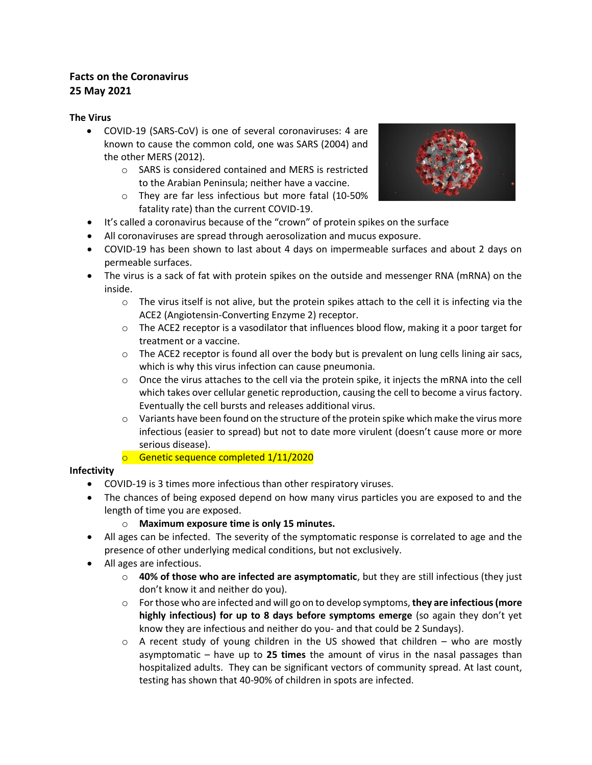## **Facts on the Coronavirus 25 May 2021**

#### **The Virus**

- COVID-19 (SARS-CoV) is one of several coronaviruses: 4 are known to cause the common cold, one was SARS (2004) and the other MERS (2012).
	- o SARS is considered contained and MERS is restricted to the Arabian Peninsula; neither have a vaccine.
	- o They are far less infectious but more fatal (10-50% fatality rate) than the current COVID-19.



- It's called a coronavirus because of the "crown" of protein spikes on the surface
- All coronaviruses are spread through aerosolization and mucus exposure.
- COVID-19 has been shown to last about 4 days on impermeable surfaces and about 2 days on permeable surfaces.
- The virus is a sack of fat with protein spikes on the outside and messenger RNA (mRNA) on the inside.
	- $\circ$  The virus itself is not alive, but the protein spikes attach to the cell it is infecting via the ACE2 (Angiotensin-Converting Enzyme 2) receptor.
	- $\circ$  The ACE2 receptor is a vasodilator that influences blood flow, making it a poor target for treatment or a vaccine.
	- $\circ$  The ACE2 receptor is found all over the body but is prevalent on lung cells lining air sacs, which is why this virus infection can cause pneumonia.
	- $\circ$  Once the virus attaches to the cell via the protein spike, it injects the mRNA into the cell which takes over cellular genetic reproduction, causing the cell to become a virus factory. Eventually the cell bursts and releases additional virus.
	- $\circ$  Variants have been found on the structure of the protein spike which make the virus more infectious (easier to spread) but not to date more virulent (doesn't cause more or more serious disease).
	- o Genetic sequence completed 1/11/2020

### **Infectivity**

- COVID-19 is 3 times more infectious than other respiratory viruses.
- The chances of being exposed depend on how many virus particles you are exposed to and the length of time you are exposed.
	- o **Maximum exposure time is only 15 minutes.**
- All ages can be infected. The severity of the symptomatic response is correlated to age and the presence of other underlying medical conditions, but not exclusively.
- All ages are infectious.
	- o **40% of those who are infected are asymptomatic**, but they are still infectious (they just don't know it and neither do you).
	- o For those who are infected and will go on to develop symptoms, **they are infectious (more highly infectious) for up to 8 days before symptoms emerge** (so again they don't yet know they are infectious and neither do you- and that could be 2 Sundays).
	- $\circ$  A recent study of young children in the US showed that children who are mostly asymptomatic – have up to **25 times** the amount of virus in the nasal passages than hospitalized adults. They can be significant vectors of community spread. At last count, testing has shown that 40-90% of children in spots are infected.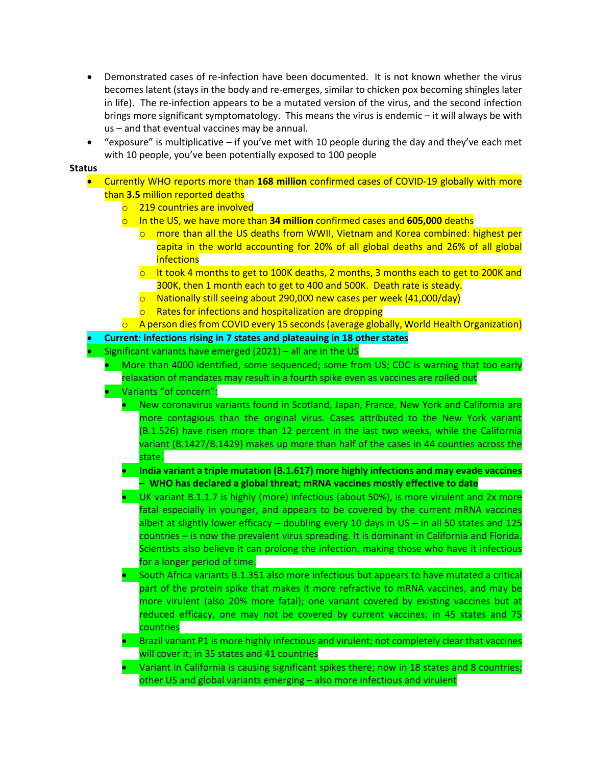- Demonstrated cases of re-infection have been documented. It is not known whether the virus becomes latent (stays in the body and re-emerges, similar to chicken pox becoming shingles later in life). The re-infection appears to be a mutated version of the virus, and the second infection brings more significant symptomatology. This means the virus is endemic – it will always be with us – and that eventual vaccines may be annual.
- "exposure" is multiplicative  $-$  if you've met with 10 people during the day and they've each met with 10 people, you've been potentially exposed to 100 people

#### **Status**

- Currently WHO reports more than **168 million** confirmed cases of COVID-19 globally with more than **3.5** million reported deaths
	- o 219 countries are involved
	- o In the US, we have more than **34 million** confirmed cases and **605,000** deaths
		- $\circ$  more than all the US deaths from WWII, Vietnam and Korea combined: highest per capita in the world accounting for 20% of all global deaths and 26% of all global **infections**
		- $\circ$  It took 4 months to get to 100K deaths, 2 months, 3 months each to get to 200K and 300K, then 1 month each to get to 400 and 500K. Death rate is steady.
		- o Nationally still seeing about 290,000 new cases per week (41,000/day)
		- o Rates for infections and hospitalization are dropping
	- $\circ$  A person dies from COVID every 15 seconds (average globally, World Health Organization)
- **Current: infections rising in 7 states and plateauing in 18 other states**
- Significant variants have emerged  $(2021)$  all are in the US
	- More than 4000 identified, some sequenced; some from US; CDC is warning that too early relaxation of mandates may result in a fourth spike even as vaccines are rolled out
	- Variants "of concern":
		- New coronavirus variants found in Scotland, Japan, France, New York and California are more contagious than the original virus. Cases attributed to the New York variant (B.1.526) have risen more than 12 percent in the last two weeks, while the California variant (B.1427/B.1429) makes up more than half of the cases in 44 counties across the state.
		- **India variant a triple mutation (B.1.617) more highly infections and may evade vaccines – WHO has declared a global threat; mRNA vaccines mostly effective to date**
		- UK variant B.1.1.7 is highly (more) infectious (about 50%), is more virulent and 2x more fatal especially in younger, and appears to be covered by the current mRNA vaccines albeit at slightly lower efficacy – doubling every 10 days in US – in all 50 states and 125 countries – is now the prevalent virus spreading. It is dominant in California and Florida. Scientists also believe it can prolong the infection, making those who have it infectious for a longer period of time.
		- South Africa variants B.1.351 also more infectious but appears to have mutated a critical part of the protein spike that makes it more refractive to mRNA vaccines, and may be more virulent (also 20% more fatal); one variant covered by existing vaccines but at reduced efficacy, one may not be covered by current vaccines; in 45 states and 75 countries
		- Brazil variant P1 is more highly infectious and virulent; not completely clear that vaccines will cover it; in 35 states and 41 countries
		- Variant in California is causing significant spikes there; now in 18 states and 8 countries; other US and global variants emerging – also more infectious and virulent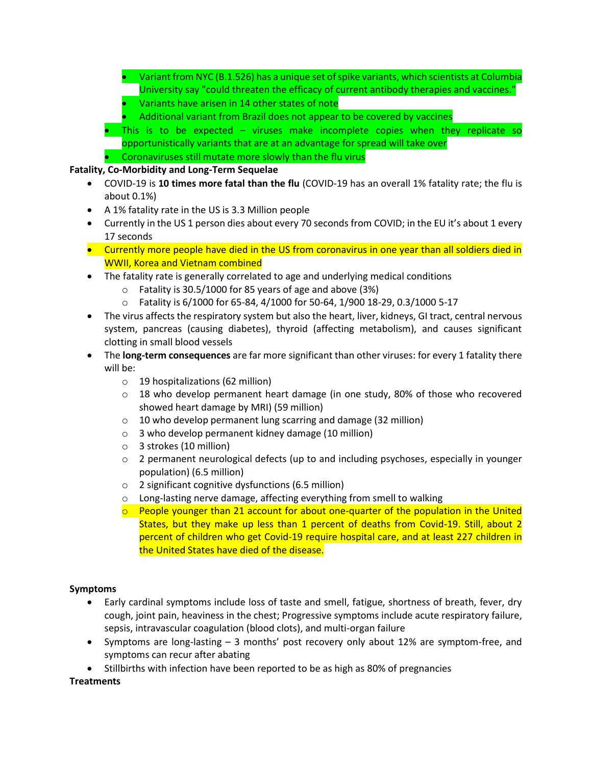- Variant from NYC (B.1.526) has a unique set of spike variants, which scientists at Columbia University say "could threaten the efficacy of current antibody therapies and vaccines."
- Variants have arisen in 14 other states of note
- Additional variant from Brazil does not appear to be covered by vaccines
- This is to be expected viruses make incomplete copies when they replicate so opportunistically variants that are at an advantage for spread will take over • Coronaviruses still mutate more slowly than the flu virus

### **Fatality, Co-Morbidity and Long-Term Sequelae**

- COVID-19 is **10 times more fatal than the flu** (COVID-19 has an overall 1% fatality rate; the flu is about 0.1%)
- A 1% fatality rate in the US is 3.3 Million people
- Currently in the US 1 person dies about every 70 seconds from COVID; in the EU it's about 1 every 17 seconds
- Currently more people have died in the US from coronavirus in one year than all soldiers died in WWII, Korea and Vietnam combined
- The fatality rate is generally correlated to age and underlying medical conditions
	- o Fatality is 30.5/1000 for 85 years of age and above (3%)
	- o Fatality is 6/1000 for 65-84, 4/1000 for 50-64, 1/900 18-29, 0.3/1000 5-17
- The virus affects the respiratory system but also the heart, liver, kidneys, GI tract, central nervous system, pancreas (causing diabetes), thyroid (affecting metabolism), and causes significant clotting in small blood vessels
- The **long-term consequences** are far more significant than other viruses: for every 1 fatality there will be:
	- o 19 hospitalizations (62 million)
	- $\circ$  18 who develop permanent heart damage (in one study, 80% of those who recovered showed heart damage by MRI) (59 million)
	- o 10 who develop permanent lung scarring and damage (32 million)
	- o 3 who develop permanent kidney damage (10 million)
	- o 3 strokes (10 million)
	- o 2 permanent neurological defects (up to and including psychoses, especially in younger population) (6.5 million)
	- o 2 significant cognitive dysfunctions (6.5 million)
	- o Long-lasting nerve damage, affecting everything from smell to walking
	- $\circ$  People younger than 21 account for about one-quarter of the population in the United States, but they make up less than 1 percent of deaths from Covid-19. Still, about 2 percent of children who get Covid-19 require hospital care, and at least 227 children in the United States have died of the disease.

#### **Symptoms**

- Early cardinal symptoms include loss of taste and smell, fatigue, shortness of breath, fever, dry cough, joint pain, heaviness in the chest; Progressive symptoms include acute respiratory failure, sepsis, intravascular coagulation (blood clots), and multi-organ failure
- Symptoms are long-lasting 3 months' post recovery only about 12% are symptom-free, and symptoms can recur after abating
- Stillbirths with infection have been reported to be as high as 80% of pregnancies

**Treatments**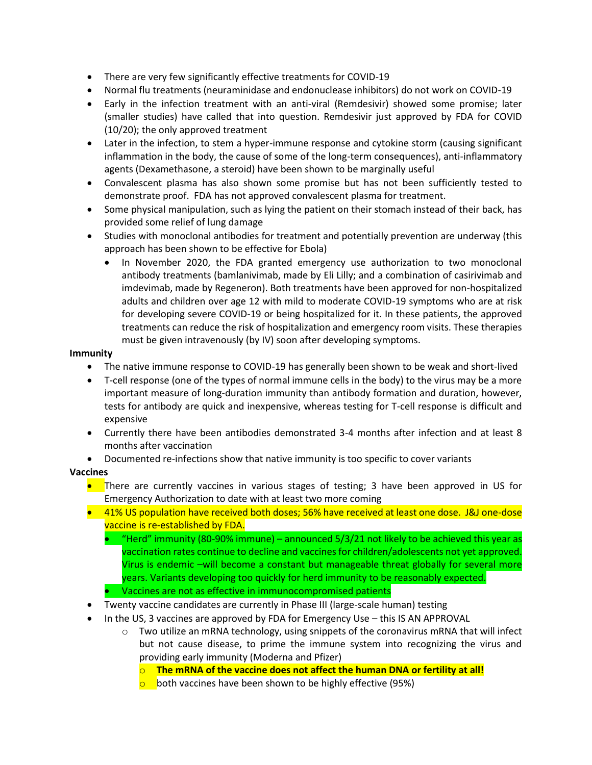- There are very few significantly effective treatments for COVID-19
- Normal flu treatments (neuraminidase and endonuclease inhibitors) do not work on COVID-19
- Early in the infection treatment with an anti-viral (Remdesivir) showed some promise; later (smaller studies) have called that into question. Remdesivir just approved by FDA for COVID (10/20); the only approved treatment
- Later in the infection, to stem a hyper-immune response and cytokine storm (causing significant inflammation in the body, the cause of some of the long-term consequences), anti-inflammatory agents (Dexamethasone, a steroid) have been shown to be marginally useful
- Convalescent plasma has also shown some promise but has not been sufficiently tested to demonstrate proof. FDA has not approved convalescent plasma for treatment.
- Some physical manipulation, such as lying the patient on their stomach instead of their back, has provided some relief of lung damage
- Studies with monoclonal antibodies for treatment and potentially prevention are underway (this approach has been shown to be effective for Ebola)
	- In November 2020, the FDA granted emergency use authorization to two monoclonal antibody treatments (bamlanivimab, made by Eli Lilly; and a combination of casirivimab and imdevimab, made by Regeneron). Both treatments have been approved for non-hospitalized adults and children over age 12 with mild to moderate COVID-19 symptoms who are at risk for developing severe COVID-19 or being hospitalized for it. In these patients, the approved treatments can reduce the risk of hospitalization and emergency room visits. These therapies must be given intravenously (by IV) soon after developing symptoms.

#### **Immunity**

- The native immune response to COVID-19 has generally been shown to be weak and short-lived
- T-cell response (one of the types of normal immune cells in the body) to the virus may be a more important measure of long-duration immunity than antibody formation and duration, however, tests for antibody are quick and inexpensive, whereas testing for T-cell response is difficult and expensive
- Currently there have been antibodies demonstrated 3-4 months after infection and at least 8 months after vaccination
- Documented re-infections show that native immunity is too specific to cover variants

#### **Vaccines**

- There are currently vaccines in various stages of testing; 3 have been approved in US for Emergency Authorization to date with at least two more coming
- 41% US population have received both doses; 56% have received at least one dose. J&J one-dose vaccine is re-established by FDA.
	- "Herd" immunity (80-90% immune) announced 5/3/21 not likely to be achieved this year as vaccination rates continue to decline and vaccines for children/adolescents not yet approved. Virus is endemic –will become a constant but manageable threat globally for several more years. Variants developing too quickly for herd immunity to be reasonably expected.
	- Vaccines are not as effective in immunocompromised patients
- Twenty vaccine candidates are currently in Phase III (large-scale human) testing
- In the US, 3 vaccines are approved by FDA for Emergency Use this IS AN APPROVAL
	- $\circ$  Two utilize an mRNA technology, using snippets of the coronavirus mRNA that will infect but not cause disease, to prime the immune system into recognizing the virus and providing early immunity (Moderna and Pfizer)
		- o **The mRNA of the vaccine does not affect the human DNA or fertility at all!**
		- $\circ$  both vaccines have been shown to be highly effective (95%)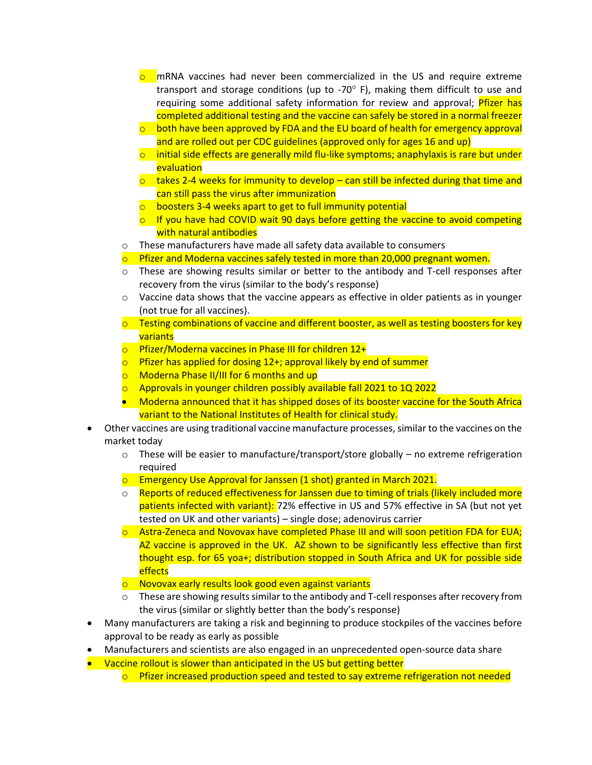- $\circ$  mRNA vaccines had never been commercialized in the US and require extreme transport and storage conditions (up to -70 $^{\circ}$  F), making them difficult to use and requiring some additional safety information for review and approval; *Pfizer has* completed additional testing and the vaccine can safely be stored in a normal freezer
- $\circ$  both have been approved by FDA and the EU board of health for emergency approval and are rolled out per CDC guidelines (approved only for ages 16 and up)
- $\circ$  initial side effects are generally mild flu-like symptoms; anaphylaxis is rare but under evaluation
- $\circ$  takes 2-4 weeks for immunity to develop can still be infected during that time and can still pass the virus after immunization
- $\circ$  boosters 3-4 weeks apart to get to full immunity potential
- $\circ$  If you have had COVID wait 90 days before getting the vaccine to avoid competing with natural antibodies
- o These manufacturers have made all safety data available to consumers
- $\circ$  Pfizer and Moderna vaccines safely tested in more than 20,000 pregnant women.
- $\circ$  These are showing results similar or better to the antibody and T-cell responses after recovery from the virus (similar to the body's response)
- $\circ$  Vaccine data shows that the vaccine appears as effective in older patients as in younger (not true for all vaccines).
- $\circ$  Testing combinations of vaccine and different booster, as well as testing boosters for key variants
- o Pfizer/Moderna vaccines in Phase III for children 12+
- $\circ$  Pfizer has applied for dosing 12+; approval likely by end of summer
- o Moderna Phase II/III for 6 months and up
- $\circ$  Approvals in younger children possibly available fall 2021 to 1Q 2022
- Moderna announced that it has shipped doses of its booster vaccine for the South Africa variant to the National Institutes of Health for clinical study.
- Other vaccines are using traditional vaccine manufacture processes, similar to the vaccines on the market today
	- $\circ$  These will be easier to manufacture/transport/store globally no extreme refrigeration required
	- $\circ$  Emergency Use Approval for Janssen (1 shot) granted in March 2021.
	- $\circ$  Reports of reduced effectiveness for Janssen due to timing of trials (likely included more patients infected with variant): 72% effective in US and 57% effective in SA (but not yet tested on UK and other variants) – single dose; adenovirus carrier
	- $\circ$  Astra-Zeneca and Novovax have completed Phase III and will soon petition FDA for EUA; AZ vaccine is approved in the UK. AZ shown to be significantly less effective than first thought esp. for 65 yoa+; distribution stopped in South Africa and UK for possible side effects
	- o Novovax early results look good even against variants
	- $\circ$  These are showing results similar to the antibody and T-cell responses after recovery from the virus (similar or slightly better than the body's response)
- Many manufacturers are taking a risk and beginning to produce stockpiles of the vaccines before approval to be ready as early as possible
- Manufacturers and scientists are also engaged in an unprecedented open-source data share
- Vaccine rollout is slower than anticipated in the US but getting better
	- $\circ$  Pfizer increased production speed and tested to say extreme refrigeration not needed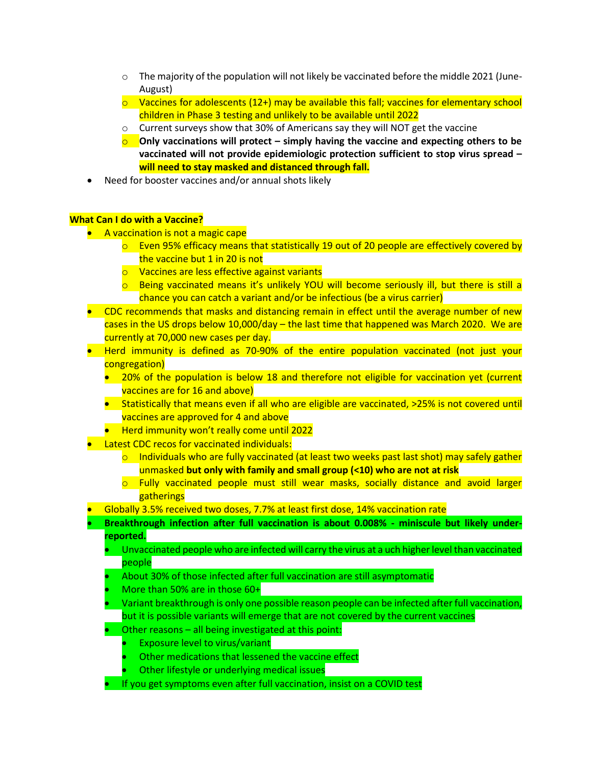- $\circ$  The majority of the population will not likely be vaccinated before the middle 2021 (June-August)
- $\circ$  Vaccines for adolescents (12+) may be available this fall; vaccines for elementary school children in Phase 3 testing and unlikely to be available until 2022
- o Current surveys show that 30% of Americans say they will NOT get the vaccine
- **O** Only vaccinations will protect simply having the vaccine and expecting others to be **vaccinated will not provide epidemiologic protection sufficient to stop virus spread – will need to stay masked and distanced through fall.**
- Need for booster vaccines and/or annual shots likely

#### **What Can I do with a Vaccine?**

- A vaccination is not a magic cape
	- $\circ$  Even 95% efficacy means that statistically 19 out of 20 people are effectively covered by the vaccine but 1 in 20 is not
	- o Vaccines are less effective against variants
	- $\circ$  Being vaccinated means it's unlikely YOU will become seriously ill, but there is still a chance you can catch a variant and/or be infectious (be a virus carrier)
- CDC recommends that masks and distancing remain in effect until the average number of new cases in the US drops below 10,000/day – the last time that happened was March 2020. We are currently at 70,000 new cases per day.
- Herd immunity is defined as 70-90% of the entire population vaccinated (not just your congregation)
	- 20% of the population is below 18 and therefore not eligible for vaccination yet (current vaccines are for 16 and above)
	- Statistically that means even if all who are eligible are vaccinated, >25% is not covered until vaccines are approved for 4 and above
	- Herd immunity won't really come until 2022
- Latest CDC recos for vaccinated individuals:
	- $\circ$  Individuals who are fully vaccinated (at least two weeks past last shot) may safely gather unmasked **but only with family and small group (<10) who are not at risk**
	- $\circ$  Fully vaccinated people must still wear masks, socially distance and avoid larger gatherings
- Globally 3.5% received two doses, 7.7% at least first dose, 14% vaccination rate
- **Breakthrough infection after full vaccination is about 0.008% - miniscule but likely underreported.**
	- Unvaccinated people who are infected will carry the virus at a uch higher level than vaccinated people
	- About 30% of those infected after full vaccination are still asymptomatic
	- More than 50% are in those 60+
	- Variant breakthrough is only one possible reason people can be infected after full vaccination, but it is possible variants will emerge that are not covered by the current vaccines
	- Other reasons all being investigated at this point:
		- Exposure level to virus/variant
		- Other medications that lessened the vaccine effect
		- Other lifestyle or underlying medical issues
	- If you get symptoms even after full vaccination, insist on a COVID test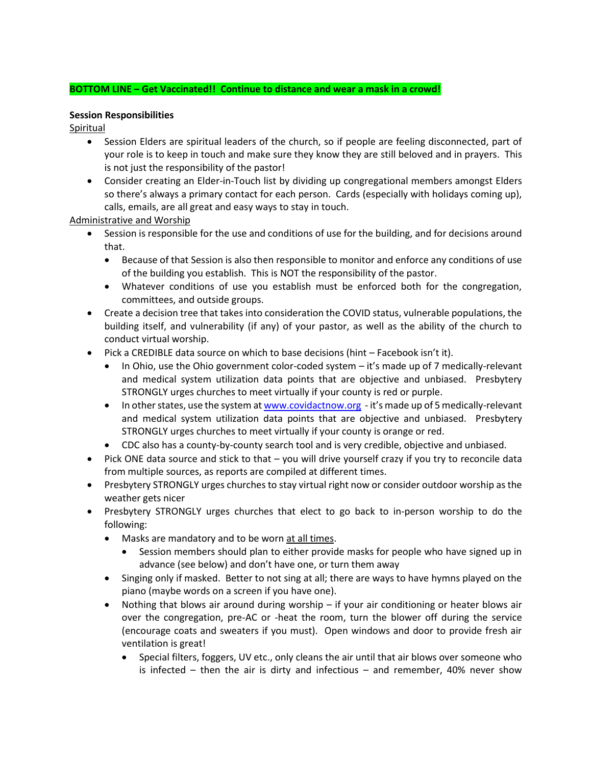#### **BOTTOM LINE – Get Vaccinated!! Continue to distance and wear a mask in a crowd!**

#### **Session Responsibilities**

Spiritual

- Session Elders are spiritual leaders of the church, so if people are feeling disconnected, part of your role is to keep in touch and make sure they know they are still beloved and in prayers. This is not just the responsibility of the pastor!
- Consider creating an Elder-in-Touch list by dividing up congregational members amongst Elders so there's always a primary contact for each person. Cards (especially with holidays coming up), calls, emails, are all great and easy ways to stay in touch.

Administrative and Worship

- Session is responsible for the use and conditions of use for the building, and for decisions around that.
	- Because of that Session is also then responsible to monitor and enforce any conditions of use of the building you establish. This is NOT the responsibility of the pastor.
	- Whatever conditions of use you establish must be enforced both for the congregation, committees, and outside groups.
- Create a decision tree that takes into consideration the COVID status, vulnerable populations, the building itself, and vulnerability (if any) of your pastor, as well as the ability of the church to conduct virtual worship.
- Pick a CREDIBLE data source on which to base decisions (hint Facebook isn't it).
	- In Ohio, use the Ohio government color-coded system it's made up of 7 medically-relevant and medical system utilization data points that are objective and unbiased. Presbytery STRONGLY urges churches to meet virtually if your county is red or purple.
	- In other states, use the system a[t www.covidactnow.org](http://www.covidactnow.org/)  it's made up of 5 medically-relevant and medical system utilization data points that are objective and unbiased. Presbytery STRONGLY urges churches to meet virtually if your county is orange or red.
	- CDC also has a county-by-county search tool and is very credible, objective and unbiased.
- Pick ONE data source and stick to that you will drive yourself crazy if you try to reconcile data from multiple sources, as reports are compiled at different times.
- Presbytery STRONGLY urges churches to stay virtual right now or consider outdoor worship as the weather gets nicer
- Presbytery STRONGLY urges churches that elect to go back to in-person worship to do the following:
	- Masks are mandatory and to be worn at all times.
		- Session members should plan to either provide masks for people who have signed up in advance (see below) and don't have one, or turn them away
	- Singing only if masked. Better to not sing at all; there are ways to have hymns played on the piano (maybe words on a screen if you have one).
	- Nothing that blows air around during worship if your air conditioning or heater blows air over the congregation, pre-AC or -heat the room, turn the blower off during the service (encourage coats and sweaters if you must). Open windows and door to provide fresh air ventilation is great!
		- Special filters, foggers, UV etc., only cleans the air until that air blows over someone who is infected – then the air is dirty and infectious – and remember,  $40\%$  never show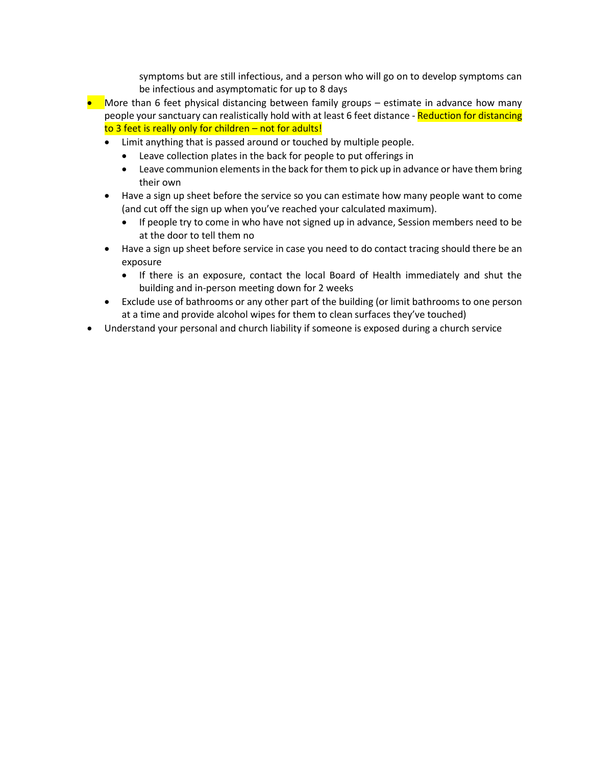symptoms but are still infectious, and a person who will go on to develop symptoms can be infectious and asymptomatic for up to 8 days

- More than 6 feet physical distancing between family groups estimate in advance how many people your sanctuary can realistically hold with at least 6 feet distance - Reduction for distancing to 3 feet is really only for children – not for adults!
	- Limit anything that is passed around or touched by multiple people.
		- Leave collection plates in the back for people to put offerings in
		- Leave communion elements in the back for them to pick up in advance or have them bring their own
	- Have a sign up sheet before the service so you can estimate how many people want to come (and cut off the sign up when you've reached your calculated maximum).
		- If people try to come in who have not signed up in advance, Session members need to be at the door to tell them no
	- Have a sign up sheet before service in case you need to do contact tracing should there be an exposure
		- If there is an exposure, contact the local Board of Health immediately and shut the building and in-person meeting down for 2 weeks
	- Exclude use of bathrooms or any other part of the building (or limit bathrooms to one person at a time and provide alcohol wipes for them to clean surfaces they've touched)
- Understand your personal and church liability if someone is exposed during a church service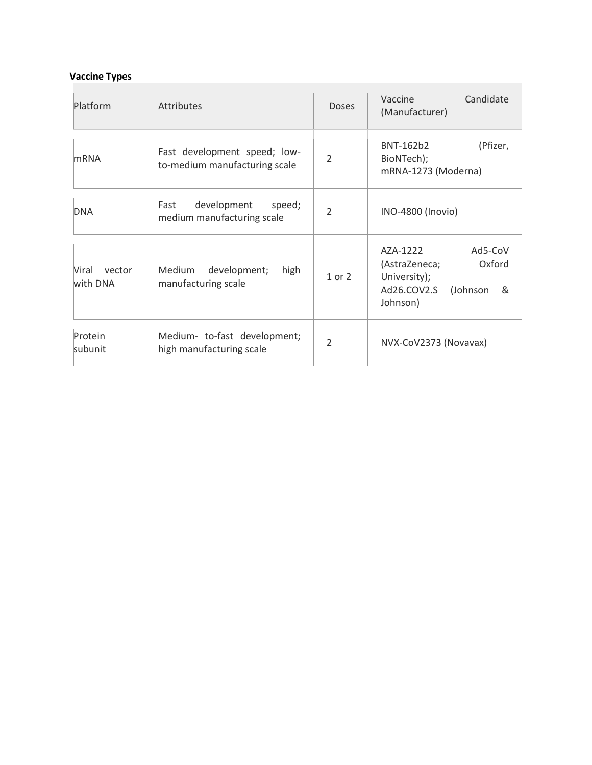# **Vaccine Types**

| Platform                    | <b>Attributes</b>                                             | <b>Doses</b>             | Candidate<br>Vaccine<br>(Manufacturer)                                                                     |
|-----------------------------|---------------------------------------------------------------|--------------------------|------------------------------------------------------------------------------------------------------------|
| <b>mRNA</b>                 | Fast development speed; low-<br>to-medium manufacturing scale | $\overline{\phantom{a}}$ | (Pfizer,<br>BNT-162b2<br>BioNTech);<br>mRNA-1273 (Moderna)                                                 |
| <b>DNA</b>                  | development<br>speed;<br>Fast<br>medium manufacturing scale   | $\overline{\phantom{a}}$ | INO-4800 (Inovio)                                                                                          |
| Viral<br>vector<br>with DNA | development;<br><b>Medium</b><br>high<br>manufacturing scale  | 1 or 2                   | AZA-1222<br>Ad5-CoV<br>Oxford<br>(AstraZeneca;<br>University);<br>Ad26.COV2.S<br>(Johnson<br>&<br>Johnson) |
| Protein<br>subunit          | Medium- to-fast development;<br>high manufacturing scale      | $\overline{\phantom{a}}$ | NVX-CoV2373 (Novavax)                                                                                      |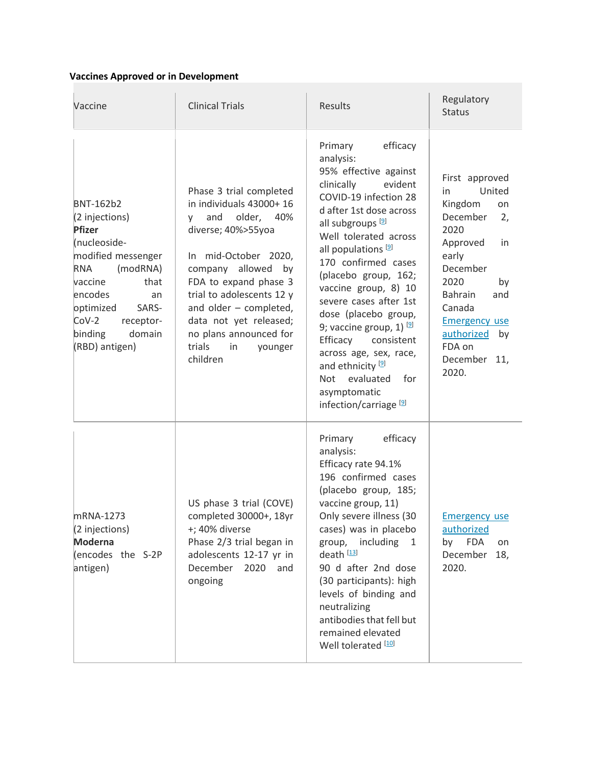# **Vaccines Approved or in Development**

| Vaccine                                                                                                                                                                                                                                      | <b>Clinical Trials</b>                                                                                                                                                                                                                                                                                                          | <b>Results</b>                                                                                                                                                                                                                                                                                                                                                                                                                                                                                                                                                 | Regulatory<br><b>Status</b>                                                                                                                                                                                                                      |
|----------------------------------------------------------------------------------------------------------------------------------------------------------------------------------------------------------------------------------------------|---------------------------------------------------------------------------------------------------------------------------------------------------------------------------------------------------------------------------------------------------------------------------------------------------------------------------------|----------------------------------------------------------------------------------------------------------------------------------------------------------------------------------------------------------------------------------------------------------------------------------------------------------------------------------------------------------------------------------------------------------------------------------------------------------------------------------------------------------------------------------------------------------------|--------------------------------------------------------------------------------------------------------------------------------------------------------------------------------------------------------------------------------------------------|
| <b>BNT-162b2</b><br>(2 injections)<br><b>Pfizer</b><br>(nucleoside-<br>modified messenger<br><b>RNA</b><br>(modRNA)<br>vaccine<br>that<br>encodes<br>an<br>optimized<br>SARS-<br>$Cov-2$<br>receptor-<br>binding<br>domain<br>(RBD) antigen) | Phase 3 trial completed<br>in individuals 43000+ 16<br>older, 40%<br>and<br>V<br>diverse; 40%>55yoa<br>In mid-October 2020,<br>company allowed<br>by<br>FDA to expand phase 3<br>trial to adolescents 12 y<br>and older - completed,<br>data not yet released;<br>no plans announced for<br>trials<br>in<br>younger<br>children | efficacy<br>Primary<br>analysis:<br>95% effective against<br>clinically<br>evident<br>COVID-19 infection 28<br>d after 1st dose across<br>all subgroups <sup>[9]</sup><br>Well tolerated across<br>all populations <sup>[9]</sup><br>170 confirmed cases<br>(placebo group, 162;<br>vaccine group, 8) 10<br>severe cases after 1st<br>dose (placebo group,<br>9; vaccine group, 1) [9]<br>Efficacy consistent<br>across age, sex, race,<br>and ethnicity <sup>[9]</sup><br>evaluated<br>for<br><b>Not</b><br>asymptomatic<br>infection/carriage <sup>[9]</sup> | First approved<br>United<br>in<br>Kingdom<br>on<br>December<br>2,<br>2020<br>Approved<br>in<br>early<br>December<br>2020<br>by<br><b>Bahrain</b><br>and<br>Canada<br><b>Emergency use</b><br>authorized<br>by<br>FDA on<br>December 11,<br>2020. |
| mRNA-1273<br>(2 injections)<br><b>Moderna</b><br>(encodes the S-2P<br>antigen)                                                                                                                                                               | US phase 3 trial (COVE)<br>completed 30000+, 18yr<br>+; 40% diverse<br>Phase 2/3 trial began in<br>adolescents 12-17 yr in<br>December<br>2020<br>and<br>ongoing                                                                                                                                                                | Primary<br>efficacy<br>analysis:<br>Efficacy rate 94.1%<br>196 confirmed cases<br>(placebo group, 185;<br>vaccine group, 11)<br>Only severe illness (30<br>cases) was in placebo<br>group, including<br>1<br>death <sup>[13]</sup><br>90 d after 2nd dose<br>(30 participants): high<br>levels of binding and<br>neutralizing<br>antibodies that fell but<br>remained elevated<br>Well tolerated [10]                                                                                                                                                          | <b>Emergency use</b><br>authorized<br><b>FDA</b><br>by<br>on<br>December<br>18,<br>2020.                                                                                                                                                         |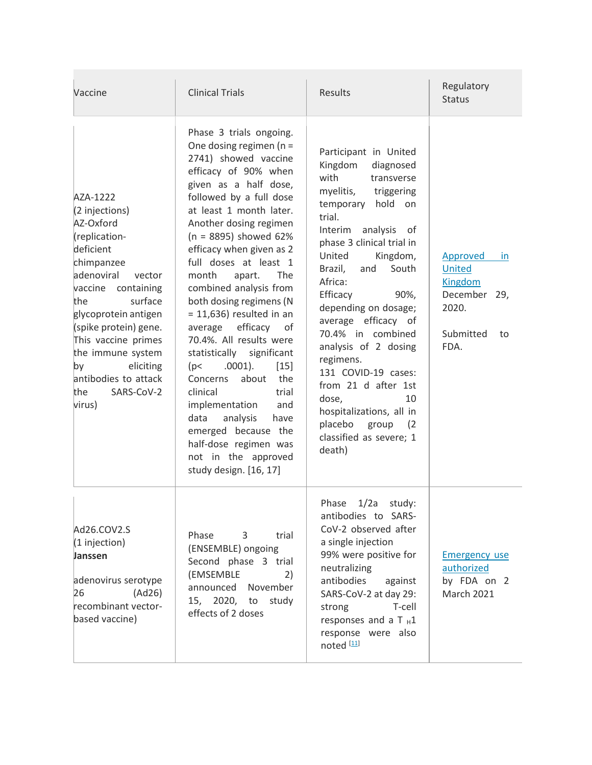| Vaccine                                                                                                                                                                                                                                                                                                                    | <b>Clinical Trials</b>                                                                                                                                                                                                                                                                                                                                                                                                                                                                                                                                                                                                                                                                                                                         | Results                                                                                                                                                                                                                                                                                                                                                                                                                                                                                                                                   | Regulatory<br><b>Status</b>                                                                           |
|----------------------------------------------------------------------------------------------------------------------------------------------------------------------------------------------------------------------------------------------------------------------------------------------------------------------------|------------------------------------------------------------------------------------------------------------------------------------------------------------------------------------------------------------------------------------------------------------------------------------------------------------------------------------------------------------------------------------------------------------------------------------------------------------------------------------------------------------------------------------------------------------------------------------------------------------------------------------------------------------------------------------------------------------------------------------------------|-------------------------------------------------------------------------------------------------------------------------------------------------------------------------------------------------------------------------------------------------------------------------------------------------------------------------------------------------------------------------------------------------------------------------------------------------------------------------------------------------------------------------------------------|-------------------------------------------------------------------------------------------------------|
| AZA-1222<br>(2 injections)<br>AZ-Oxford<br>(replication-<br>deficient<br>chimpanzee<br>adenoviral<br>vector<br>vaccine containing<br>surface<br>the<br>glycoprotein antigen<br>(spike protein) gene.<br>This vaccine primes<br>the immune system<br>eliciting<br>by<br>antibodies to attack<br>SARS-CoV-2<br>the<br>virus) | Phase 3 trials ongoing.<br>One dosing regimen ( $n =$<br>2741) showed vaccine<br>efficacy of 90% when<br>given as a half dose,<br>followed by a full dose<br>at least 1 month later.<br>Another dosing regimen<br>$(n = 8895)$ showed 62%<br>efficacy when given as 2<br>full doses at least 1<br>month<br><b>The</b><br>apart.<br>combined analysis from<br>both dosing regimens (N<br>$= 11,636$ ) resulted in an<br>efficacy<br>average<br>of<br>70.4%. All results were<br>statistically significant<br>$.0001$ ).<br>$[15]$<br>(p<<br>about<br>Concerns<br>the<br>trial<br>clinical<br>and<br>implementation<br>data<br>analysis<br>have<br>emerged because the<br>half-dose regimen was<br>not in the approved<br>study design. [16, 17] | Participant in United<br>Kingdom<br>diagnosed<br>with<br>transverse<br>myelitis,<br>triggering<br>hold<br>temporary<br>on<br>trial.<br>Interim analysis of<br>phase 3 clinical trial in<br>United<br>Kingdom,<br>South<br>Brazil,<br>and<br>Africa:<br>Efficacy<br>90%,<br>depending on dosage;<br>average efficacy of<br>70.4% in combined<br>analysis of 2 dosing<br>regimens.<br>131 COVID-19 cases:<br>from 21 d after 1st<br>10<br>dose,<br>hospitalizations, all in<br>placebo<br>group<br>(2)<br>classified as severe; 1<br>death) | Approved<br><i>in</i><br>United<br><b>Kingdom</b><br>December 29,<br>2020.<br>Submitted<br>to<br>FDA. |
| Ad26.COV2.S<br>(1 injection)<br>Janssen<br>adenovirus serotype<br>(Ad26)<br>26<br>recombinant vector-<br>based vaccine)                                                                                                                                                                                                    | Phase<br>3<br>trial<br>(ENSEMBLE) ongoing<br>Second phase 3 trial<br>(EMSEMBLE<br>2)<br>announced November<br>15, 2020, to study<br>effects of 2 doses                                                                                                                                                                                                                                                                                                                                                                                                                                                                                                                                                                                         | 1/2a<br>Phase<br>study:<br>antibodies to SARS-<br>CoV-2 observed after<br>a single injection<br>99% were positive for<br>neutralizing<br>antibodies<br>against<br>SARS-CoV-2 at day 29:<br>T-cell<br>strong<br>responses and a T $H1$<br>response were also<br>noted <sup>[11]</sup>                                                                                                                                                                                                                                                      | <b>Emergency use</b><br>authorized<br>by FDA on 2<br><b>March 2021</b>                                |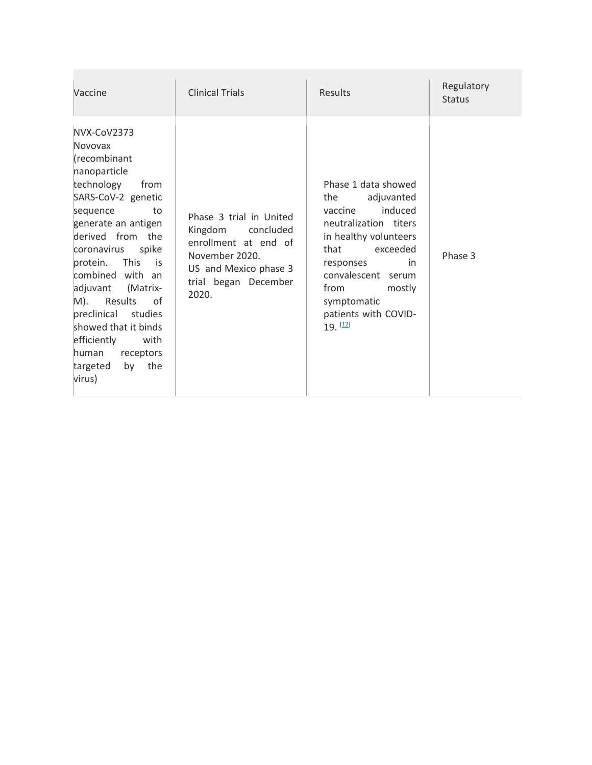| Vaccine                                                                                                                                                                                                                                                                                                                                                                                                           | <b>Clinical Trials</b>                                                                                                                           | Results                                                                                                                                                                                                                                              | Regulatory<br><b>Status</b> |
|-------------------------------------------------------------------------------------------------------------------------------------------------------------------------------------------------------------------------------------------------------------------------------------------------------------------------------------------------------------------------------------------------------------------|--------------------------------------------------------------------------------------------------------------------------------------------------|------------------------------------------------------------------------------------------------------------------------------------------------------------------------------------------------------------------------------------------------------|-----------------------------|
| NVX-CoV2373<br>Novovax<br>(recombinant<br>nanoparticle<br>technology<br>from<br>SARS-CoV-2 genetic<br>sequence<br>to<br>generate an antigen<br>derived from the<br>coronavirus<br>spike<br>protein. This<br>is is<br>combined with an<br>adjuvant<br>(Matrix-<br>M). Results<br>of<br>preclinical studies<br>showed that it binds<br>efficiently<br>with<br>human<br>receptors<br>the<br>targeted<br>by<br>virus) | Phase 3 trial in United<br>Kingdom concluded<br>enrollment at end of<br>November 2020.<br>US and Mexico phase 3<br>trial began December<br>2020. | Phase 1 data showed<br>adjuvanted<br>the<br>induced<br>vaccine<br>neutralization titers<br>in healthy volunteers<br>exceeded<br>that<br>responses<br>in<br>convalescent serum<br>from<br>mostly<br>symptomatic<br>patients with COVID-<br>$19.$ [12] | Phase 3                     |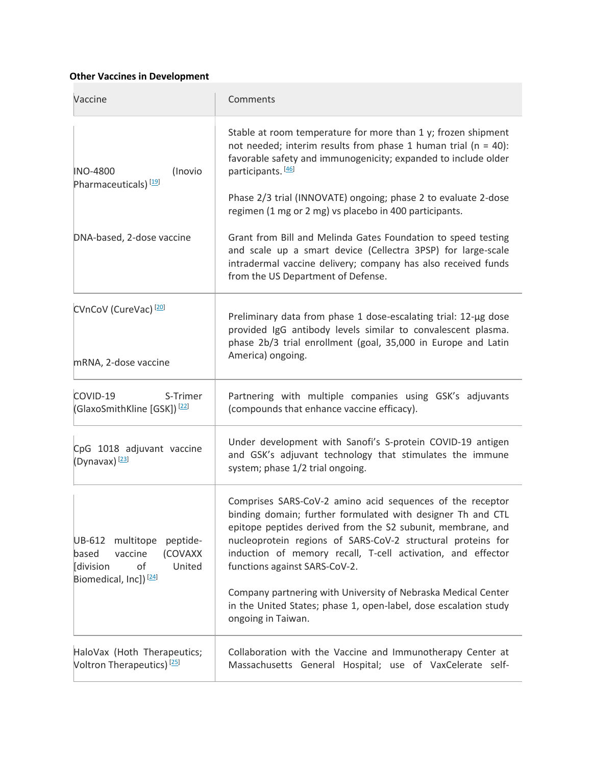## **Other Vaccines in Development**

| Vaccine                                                                                                                       | Comments                                                                                                                                                                                                                                                                                                                                               |
|-------------------------------------------------------------------------------------------------------------------------------|--------------------------------------------------------------------------------------------------------------------------------------------------------------------------------------------------------------------------------------------------------------------------------------------------------------------------------------------------------|
| (Inovio<br><b>INO-4800</b><br>Pharmaceuticals) <sup>[19]</sup>                                                                | Stable at room temperature for more than 1 y; frozen shipment<br>not needed; interim results from phase 1 human trial ( $n = 40$ ):<br>favorable safety and immunogenicity; expanded to include older<br>participants. [46]                                                                                                                            |
|                                                                                                                               | Phase 2/3 trial (INNOVATE) ongoing; phase 2 to evaluate 2-dose<br>regimen (1 mg or 2 mg) vs placebo in 400 participants.                                                                                                                                                                                                                               |
| DNA-based, 2-dose vaccine                                                                                                     | Grant from Bill and Melinda Gates Foundation to speed testing<br>and scale up a smart device (Cellectra 3PSP) for large-scale<br>intradermal vaccine delivery; company has also received funds<br>from the US Department of Defense.                                                                                                                   |
| CVnCoV (CureVac) <sup>[20]</sup>                                                                                              | Preliminary data from phase 1 dose-escalating trial: 12-µg dose<br>provided IgG antibody levels similar to convalescent plasma.<br>phase 2b/3 trial enrollment (goal, 35,000 in Europe and Latin<br>America) ongoing.                                                                                                                                  |
| mRNA, 2-dose vaccine                                                                                                          |                                                                                                                                                                                                                                                                                                                                                        |
| COVID-19<br>S-Trimer<br>(GlaxoSmithKline [GSK]) <sup>[22]</sup>                                                               | Partnering with multiple companies using GSK's adjuvants<br>(compounds that enhance vaccine efficacy).                                                                                                                                                                                                                                                 |
| CpG 1018 adjuvant vaccine<br>(Dynavax) <sup>[23]</sup>                                                                        | Under development with Sanofi's S-protein COVID-19 antigen<br>and GSK's adjuvant technology that stimulates the immune<br>system; phase 1/2 trial ongoing.                                                                                                                                                                                             |
| peptide-<br>UB-612 multitope<br>vaccine<br>(COVAXX<br>based<br>[division<br>of<br>United<br>Biomedical, Inc]) <sup>[24]</sup> | Comprises SARS-CoV-2 amino acid sequences of the receptor<br>binding domain; further formulated with designer Th and CTL<br>epitope peptides derived from the S2 subunit, membrane, and<br>nucleoprotein regions of SARS-CoV-2 structural proteins for<br>induction of memory recall, T-cell activation, and effector<br>functions against SARS-CoV-2. |
|                                                                                                                               | Company partnering with University of Nebraska Medical Center<br>in the United States; phase 1, open-label, dose escalation study<br>ongoing in Taiwan.                                                                                                                                                                                                |
| HaloVax (Hoth Therapeutics;<br>Voltron Therapeutics) <sup>[25]</sup>                                                          | Collaboration with the Vaccine and Immunotherapy Center at<br>Massachusetts General Hospital; use of VaxCelerate self-                                                                                                                                                                                                                                 |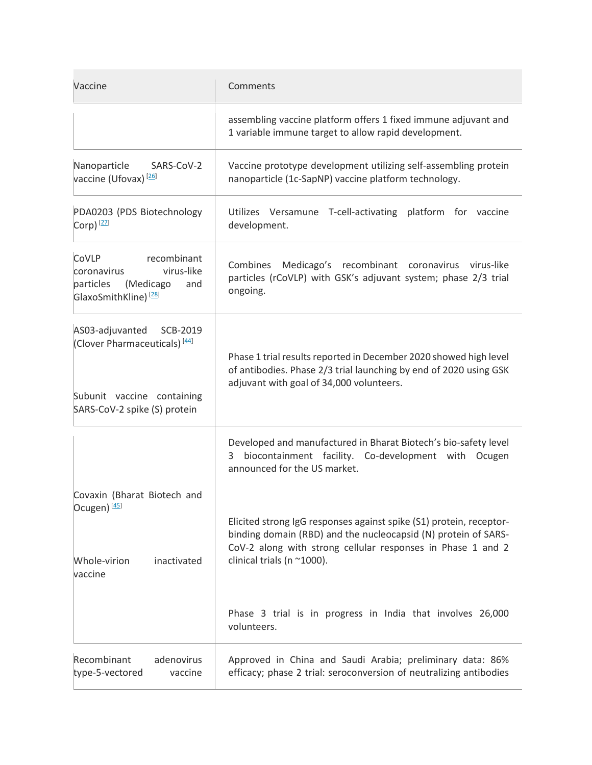| Vaccine                                                                                                                               | Comments                                                                                                                                                                                                                           |
|---------------------------------------------------------------------------------------------------------------------------------------|------------------------------------------------------------------------------------------------------------------------------------------------------------------------------------------------------------------------------------|
|                                                                                                                                       | assembling vaccine platform offers 1 fixed immune adjuvant and<br>1 variable immune target to allow rapid development.                                                                                                             |
| Nanoparticle<br>SARS-CoV-2<br>vaccine (Ufovax) <sup>[26]</sup>                                                                        | Vaccine prototype development utilizing self-assembling protein<br>nanoparticle (1c-SapNP) vaccine platform technology.                                                                                                            |
| PDA0203 (PDS Biotechnology<br>Corp) $[27]$                                                                                            | Utilizes Versamune T-cell-activating platform for vaccine<br>development.                                                                                                                                                          |
| recombinant<br>CoVLP<br>virus-like<br>coronavirus<br>particles<br>(Medicago<br>and<br>GlaxoSmithKline) <sup>[28]</sup>                | Combines Medicago's recombinant coronavirus virus-like<br>particles (rCoVLP) with GSK's adjuvant system; phase 2/3 trial<br>ongoing.                                                                                               |
| AS03-adjuvanted<br>SCB-2019<br>(Clover Pharmaceuticals) <sup>[44]</sup><br>Subunit vaccine containing<br>SARS-CoV-2 spike (S) protein | Phase 1 trial results reported in December 2020 showed high level<br>of antibodies. Phase 2/3 trial launching by end of 2020 using GSK<br>adjuvant with goal of 34,000 volunteers.                                                 |
|                                                                                                                                       | Developed and manufactured in Bharat Biotech's bio-safety level<br>biocontainment facility. Co-development with Ocugen<br>3<br>announced for the US market.                                                                        |
| Covaxin (Bharat Biotech and<br>Ocugen) <sup>[45]</sup><br>Whole-virion<br>inactivated<br>vaccine                                      | Elicited strong IgG responses against spike (S1) protein, receptor-<br>binding domain (RBD) and the nucleocapsid (N) protein of SARS-<br>CoV-2 along with strong cellular responses in Phase 1 and 2<br>clinical trials (n ~1000). |
|                                                                                                                                       | Phase 3 trial is in progress in India that involves 26,000<br>volunteers.                                                                                                                                                          |
| Recombinant<br>adenovirus<br>type-5-vectored<br>vaccine                                                                               | Approved in China and Saudi Arabia; preliminary data: 86%<br>efficacy; phase 2 trial: seroconversion of neutralizing antibodies                                                                                                    |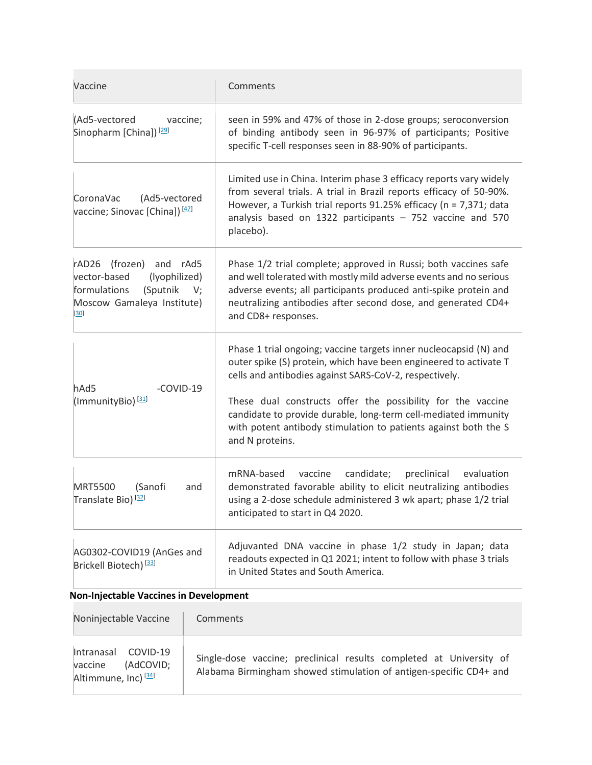| Vaccine                                                                                                                                   | Comments                                                                                                                                                                                                                                                                                                                                                                                                                |
|-------------------------------------------------------------------------------------------------------------------------------------------|-------------------------------------------------------------------------------------------------------------------------------------------------------------------------------------------------------------------------------------------------------------------------------------------------------------------------------------------------------------------------------------------------------------------------|
| (Ad5-vectored<br>vaccine;<br>Sinopharm [China]) <sup>[29]</sup>                                                                           | seen in 59% and 47% of those in 2-dose groups; seroconversion<br>of binding antibody seen in 96-97% of participants; Positive<br>specific T-cell responses seen in 88-90% of participants.                                                                                                                                                                                                                              |
| CoronaVac<br>(Ad5-vectored<br>vaccine; Sinovac [China]) <a>[47]</a>                                                                       | Limited use in China. Interim phase 3 efficacy reports vary widely<br>from several trials. A trial in Brazil reports efficacy of 50-90%.<br>However, a Turkish trial reports 91.25% efficacy (n = 7,371; data<br>analysis based on 1322 participants $-752$ vaccine and 570<br>placebo).                                                                                                                                |
| rAD26 (frozen) and rAd5<br>vector-based<br>(lyophilized)<br>formulations<br>(Sputnik<br>V;<br>Moscow Gamaleya Institute)<br>$\mathbf{30}$ | Phase 1/2 trial complete; approved in Russi; both vaccines safe<br>and well tolerated with mostly mild adverse events and no serious<br>adverse events; all participants produced anti-spike protein and<br>neutralizing antibodies after second dose, and generated CD4+<br>and CD8+ responses.                                                                                                                        |
| hAd5<br>-COVID-19<br>(ImmunityBio) <sup>[31]</sup>                                                                                        | Phase 1 trial ongoing; vaccine targets inner nucleocapsid (N) and<br>outer spike (S) protein, which have been engineered to activate T<br>cells and antibodies against SARS-CoV-2, respectively.<br>These dual constructs offer the possibility for the vaccine<br>candidate to provide durable, long-term cell-mediated immunity<br>with potent antibody stimulation to patients against both the S<br>and N proteins. |
| (Sanofi<br><b>MRT5500</b><br>and<br>Translate Bio) <sup>[32]</sup>                                                                        | mRNA-based<br>vaccine<br>candidate;<br>preclinical<br>evaluation<br>demonstrated favorable ability to elicit neutralizing antibodies<br>using a 2-dose schedule administered 3 wk apart; phase 1/2 trial<br>anticipated to start in Q4 2020.                                                                                                                                                                            |
| AG0302-COVID19 (AnGes and<br>Brickell Biotech) <sup>[33]</sup>                                                                            | Adjuvanted DNA vaccine in phase 1/2 study in Japan; data<br>readouts expected in Q1 2021; intent to follow with phase 3 trials<br>in United States and South America.                                                                                                                                                                                                                                                   |

| Noninjectable Vaccine                                                          | Comments                                                                                                                                  |
|--------------------------------------------------------------------------------|-------------------------------------------------------------------------------------------------------------------------------------------|
| Intranasal COVID-19<br>(AdCOVID;<br>vaccine<br>Altimmune, Inc) <sup>[34]</sup> | Single-dose vaccine; preclinical results completed at University of<br>Alabama Birmingham showed stimulation of antigen-specific CD4+ and |